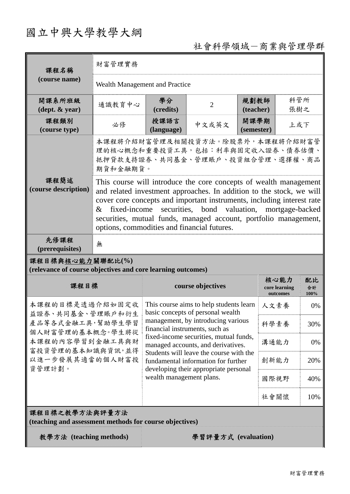# 國立中興大學教學大綱

## 社會科學領域-商業與管理學群

| 課程名稱                                                                                                                                            | 財富管理實務                                                                                                                                                                                                                                                                                                                                                                                                                                                                                                                                |                                                                                                                                                      |                |                    |                                   |                  |  |  |
|-------------------------------------------------------------------------------------------------------------------------------------------------|---------------------------------------------------------------------------------------------------------------------------------------------------------------------------------------------------------------------------------------------------------------------------------------------------------------------------------------------------------------------------------------------------------------------------------------------------------------------------------------------------------------------------------------|------------------------------------------------------------------------------------------------------------------------------------------------------|----------------|--------------------|-----------------------------------|------------------|--|--|
| (course name)                                                                                                                                   | Wealth Management and Practice                                                                                                                                                                                                                                                                                                                                                                                                                                                                                                        |                                                                                                                                                      |                |                    |                                   |                  |  |  |
| 開課系所班級<br>$(\text{dept.} \& \text{ year})$                                                                                                      | 通識教育中心                                                                                                                                                                                                                                                                                                                                                                                                                                                                                                                                | 學分<br>(credits)                                                                                                                                      | $\overline{2}$ | 規劃教師<br>(teacher)  | 科管所<br>張樹之                        |                  |  |  |
| 課程類別<br>(course type)                                                                                                                           | 必修                                                                                                                                                                                                                                                                                                                                                                                                                                                                                                                                    | 授課語言<br>(language)                                                                                                                                   | 中文或英文          | 開課學期<br>(semester) | 上或下                               |                  |  |  |
|                                                                                                                                                 | 本課程將介紹財富管理及相關投資方法。除股票外,本課程將介紹財富管<br>理的核心概念和重要投資工具,包括:利率與固定收入證券、債券估價、<br>抵押貸款支持證券、共同基金、管理賬戶、投資組合管理、選擇權、商品<br>期貨和金融期貨。<br>This course will introduce the core concepts of wealth management<br>and related investment approaches. In addition to the stock, we will<br>cover core concepts and important instruments, including interest rate<br>fixed-income<br>securities, bond valuation, mortgage-backed<br>$\&$<br>securities, mutual funds, managed account, portfolio management,<br>options, commodities and financial futures. |                                                                                                                                                      |                |                    |                                   |                  |  |  |
| 課程簡述<br>(course description)                                                                                                                    |                                                                                                                                                                                                                                                                                                                                                                                                                                                                                                                                       |                                                                                                                                                      |                |                    |                                   |                  |  |  |
| 先修課程<br>(prerequisites)                                                                                                                         | 無                                                                                                                                                                                                                                                                                                                                                                                                                                                                                                                                     |                                                                                                                                                      |                |                    |                                   |                  |  |  |
| 課程目標與核心能力關聯配比(%)<br>(relevance of course objectives and core learning outcomes)                                                                 |                                                                                                                                                                                                                                                                                                                                                                                                                                                                                                                                       |                                                                                                                                                      |                |                    |                                   |                  |  |  |
| 課程目標                                                                                                                                            |                                                                                                                                                                                                                                                                                                                                                                                                                                                                                                                                       | course objectives                                                                                                                                    |                |                    | 核心能力<br>core learning<br>outcomes | 配比<br>合計<br>100% |  |  |
| 本課程的目標是透過介紹如固定收<br>益證券、共同基金、管理賬戶和衍生<br>產品等各式金融工具,幫助學生學習<br>個人財富管理的基本概念。學生將從<br>本課程的內容學習到金融工具與財<br>富投資管理的基本知識與資訊,並得<br>以進一步發展其適當的個人財富投<br>資管理計劃。 |                                                                                                                                                                                                                                                                                                                                                                                                                                                                                                                                       | This course aims to help students learn<br>basic concepts of personal wealth<br>management, by introducing various<br>financial instruments, such as |                |                    | 人文素養                              | 0%               |  |  |
|                                                                                                                                                 |                                                                                                                                                                                                                                                                                                                                                                                                                                                                                                                                       |                                                                                                                                                      |                |                    | 科學素養                              | 30%              |  |  |
|                                                                                                                                                 |                                                                                                                                                                                                                                                                                                                                                                                                                                                                                                                                       | fixed-income securities, mutual funds,<br>managed accounts, and derivatives.                                                                         |                |                    | 溝通能力                              | 0%               |  |  |
|                                                                                                                                                 |                                                                                                                                                                                                                                                                                                                                                                                                                                                                                                                                       | Students will leave the course with the<br>fundamental information for further                                                                       |                |                    | 創新能力                              | 20%              |  |  |
|                                                                                                                                                 |                                                                                                                                                                                                                                                                                                                                                                                                                                                                                                                                       | developing their appropriate personal<br>wealth management plans.                                                                                    |                |                    | 國際視野                              | 40%              |  |  |
|                                                                                                                                                 |                                                                                                                                                                                                                                                                                                                                                                                                                                                                                                                                       |                                                                                                                                                      |                |                    | 社會關懷                              | 10%              |  |  |
| 課程目標之教學方法與評量方法<br>(teaching and assessment methods for course objectives)                                                                       |                                                                                                                                                                                                                                                                                                                                                                                                                                                                                                                                       |                                                                                                                                                      |                |                    |                                   |                  |  |  |
| 教學方法 (teaching methods)<br>學習評量方式 (evaluation)                                                                                                  |                                                                                                                                                                                                                                                                                                                                                                                                                                                                                                                                       |                                                                                                                                                      |                |                    |                                   |                  |  |  |